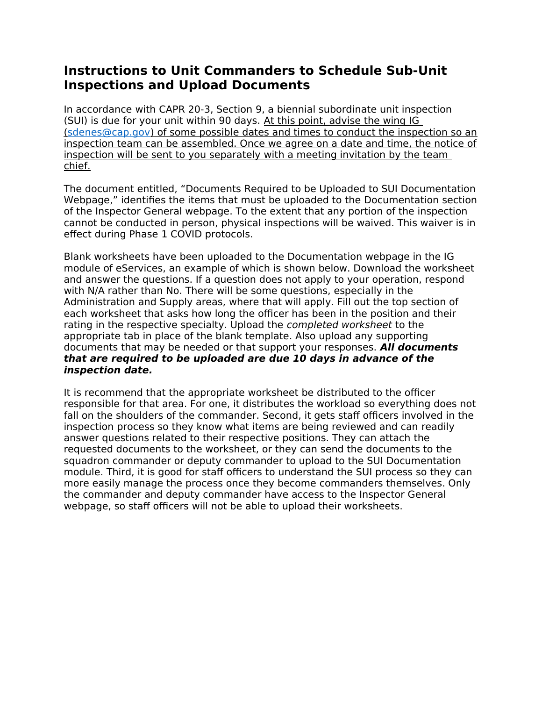## **Instructions to Unit Commanders to Schedule Sub-Unit Inspections and Upload Documents**

In accordance with CAPR 20-3, Section 9, a biennial subordinate unit inspection (SUI) is due for your unit within 90 days. At this point, advise the wing IG (sdenes@cap.gov) of some possible dates and times to conduct the inspection so an inspection team can be assembled. Once we agree on a date and time, the notice of inspection will be sent to you separately with a meeting invitation by the team chief.

The document entitled, "Documents Required to be Uploaded to SUI Documentation Webpage," identifies the items that must be uploaded to the Documentation section of the Inspector General webpage. To the extent that any portion of the inspection cannot be conducted in person, physical inspections will be waived. This waiver is in effect during Phase 1 COVID protocols.

Blank worksheets have been uploaded to the Documentation webpage in the IG module of eServices, an example of which is shown below. Download the worksheet and answer the questions. If a question does not apply to your operation, respond with N/A rather than No. There will be some questions, especially in the Administration and Supply areas, where that will apply. Fill out the top section of each worksheet that asks how long the officer has been in the position and their rating in the respective specialty. Upload the completed worksheet to the appropriate tab in place of the blank template. Also upload any supporting documents that may be needed or that support your responses. **All documents that are required to be uploaded are due 10 days in advance of the inspection date.**

It is recommend that the appropriate worksheet be distributed to the officer responsible for that area. For one, it distributes the workload so everything does not fall on the shoulders of the commander. Second, it gets staff officers involved in the inspection process so they know what items are being reviewed and can readily answer questions related to their respective positions. They can attach the requested documents to the worksheet, or they can send the documents to the squadron commander or deputy commander to upload to the SUI Documentation module. Third, it is good for staff officers to understand the SUI process so they can more easily manage the process once they become commanders themselves. Only the commander and deputy commander have access to the Inspector General webpage, so staff officers will not be able to upload their worksheets.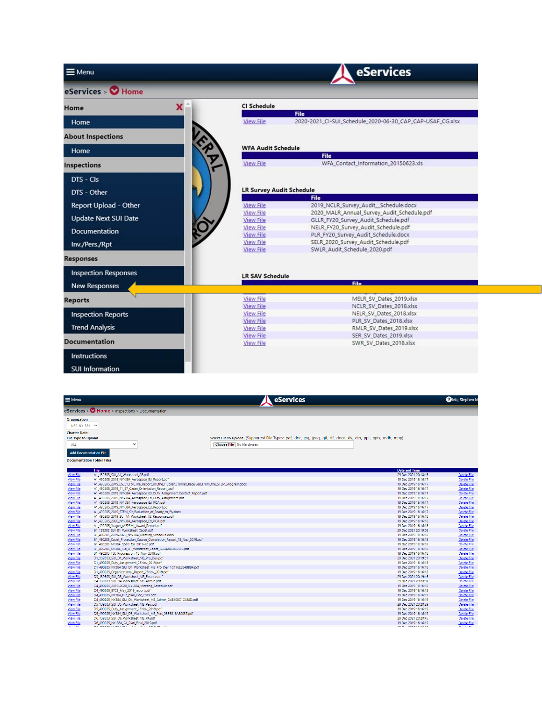| $\equiv$ Menu               |                                      | <b>eServices</b>                                                  |  |  |  |
|-----------------------------|--------------------------------------|-------------------------------------------------------------------|--|--|--|
| eServices > Home            |                                      |                                                                   |  |  |  |
| x<br>Home                   | <b>CI Schedule</b>                   |                                                                   |  |  |  |
| Home                        | <b>View File</b>                     | File<br>2020-2021_CI-SUI_Schedule_2020-06-30_CAP_CAP-USAF_CG.xlsx |  |  |  |
| <b>About Inspections</b>    |                                      |                                                                   |  |  |  |
| Home                        |                                      | <b>WFA Audit Schedule</b>                                         |  |  |  |
|                             |                                      | <b>File</b>                                                       |  |  |  |
| <b>Inspections</b>          | <b>View File</b>                     | WFA_Contact_Information_20150623.xls                              |  |  |  |
| DTS - CIs                   |                                      |                                                                   |  |  |  |
|                             |                                      |                                                                   |  |  |  |
| DTS - Other                 | <b>LR Survey Audit Schedule</b>      | <b>File</b>                                                       |  |  |  |
| Report Upload - Other       | <b>View File</b>                     | 2019 NCLR Survey Audit Schedule.docx                              |  |  |  |
|                             | <b>View File</b>                     | 2020 MALR Annual Survey Audit Schedule.pdf                        |  |  |  |
| <b>Update Next SUI Date</b> | <b>View File</b>                     | GLLR_FY20_Survey_Audit_Schedule.pdf                               |  |  |  |
| Documentation               | <b>View File</b>                     | NELR_FY20_Survey_Audit_Schedule.pdf                               |  |  |  |
|                             | <b>View File</b>                     | PLR_FY20_Survey_Audit_Schedule.docx                               |  |  |  |
| Inv./Pers./Rpt              | <b>View File</b>                     | SELR_2020_Survey_Audit_Schedule.pdf                               |  |  |  |
| <b>Responses</b>            | <b>View File</b>                     | SWLR_Audit_Schedule_2020.pdf                                      |  |  |  |
| <b>Inspection Responses</b> | <b>LR SAV Schedule</b>               |                                                                   |  |  |  |
| <b>New Responses</b>        |                                      | <b>File</b>                                                       |  |  |  |
| <b>Reports</b>              | <b>View File</b>                     | MELR SV Dates 2019.xlsx                                           |  |  |  |
|                             | <b>View File</b>                     | NCLR SV Dates 2018.xlsx                                           |  |  |  |
| <b>Inspection Reports</b>   | <b>View File</b>                     | NELR_SV_Dates_2018.xlsx                                           |  |  |  |
|                             | <b>View File</b>                     | PLR_SV_Dates_2018.xlsx                                            |  |  |  |
| <b>Trend Analysis</b>       | <b>View File</b>                     | RMLR_SV_Dates_2019.xlsx                                           |  |  |  |
| <b>Documentation</b>        | <b>View File</b><br><b>View File</b> | SER_SV_Dates_2019.xlsx<br>SWR_SV_Dates_2018.xlsx                  |  |  |  |
|                             |                                      |                                                                   |  |  |  |
| <b>Instructions</b>         |                                      |                                                                   |  |  |  |
| <b>SUI Information</b>      |                                      |                                                                   |  |  |  |

| $e$ Services > $\bigcirc$ Home > Inspections > Documentation<br>Organization<br>NER-NY-384 V<br><b>Charter Date:</b><br>Select File to Upload (Supported File Types: .pdf, .doc, .jpg, .jpeg, .gif, .rtf, .docx, .xls, .xlsx, .ppt, .pptx, .mdb, .mpp)<br><b>File Type to Upload</b><br>$\checkmark$<br>Choose File   No file chosen<br><b>ALL</b><br><b>Add Documentation File</b><br><b>Documentation Folder Files</b><br><b>Date and Time</b><br><b>File</b><br>29 Dec 2021 20:18:45<br>A1 139303 SUI A1 Worksheet AE.pdf<br><b>View File</b><br>Delete File<br>Delete File<br>View File<br>A1 490205_2018_NY-384_Aerospace_Ed_Report.pdf<br>19 Dec 2019 16:16:17<br>Delete File<br><b>View File</b><br>A1_490205_2019_05_31_For_The_Report_on_the_Hubsan_Hornet_Received_From_the_STEM_Program.docx<br>19 Dec 2019 16:16:17<br>View File<br>19 Dec 2019 16:16:17<br>Delete File<br>A1 490205 2019 11 27 Cadet Orientation Report .pdf<br>View File<br>A1 490205 2019 NY-384 Aerospace Ed Duty Assignment.Contact Report.pdf<br>19 Dec 2019 16:16:17<br>Delete File<br>Delete File<br>View File<br>A1_490205_2019_NY-384_Aerospace_Ed_Duty_Assignment.pdf<br>19 Dec 2019 16:16:17<br>Delete File<br><b>View File</b><br>A1_490205_2019_NY-384_Aerospace_Ed_POA.pdf<br>19 Dec 2019 16:16:17<br>View File<br>Delete File<br>A1_490205_2019_NY-384_Aerospace_Ed_Report.pdf<br>19 Dec 2019 16:16:17<br>A1_490205_2019_STEM_Kit_Evaluation_of_Ready_to_Fly.docx<br>Delete File<br><b>View File</b><br>19 Dec 2019 16:16:17<br><b>View File</b><br>A1_490205_2019_SUI_A1_Worksheet_AE_Responses.pdf<br>19 Dec 2019 16:16:18<br>Delete File<br><b>View File</b><br>A1_490205_2020_NY-384_Aerospace_Ed_POA.pdf<br>19 Dec 2019 16:16:18<br>Delete File<br>Delete File<br><b>View File</b><br>A1_490205_Yeager_(AEPSM)_Award_Report.pdf<br>19 Dec 2019 16:16:18<br>29 Dec 2021 20:19:06<br>Delete File<br><b>View File</b><br>B1 139303 SUI B1 Worksheet Cadet.pdf<br><b>View File</b><br>B1 490205 2019-2020 NY-384 Meeting Schedule.docx<br>19 Dec 2019 16:16:18<br>Delete File<br>Delete File<br><b>View File</b><br>B1 490205 Cadet Protection Course Completion Report 18 Nov 2019.pdf<br>19 Dec 2019 16:16:18<br><b>View File</b><br>19 Dec 2019 16:16:18<br>Delete File<br>B1_490205_NY384_goals_for_2019-20.pdf<br>Delete File<br>View File<br>B1_490205_NY384_SUI_B1_Worksheet_Cadet_BC042DEB355F6.pdf<br>19 Dec 2019 16:16:18<br>View File<br>19 Dec 2019 16:16:18<br>Delete File<br>B1_490205_TLC_Progression_18_Nov_2019.pdf<br><b>View File</b><br>D1_139303_SUI_D1_Worksheet_MS_Pro_Dev.pdf<br>29 Dec 2021 20:19:31<br>Delete File<br><b>View File</b><br>D1_490205_Duty_Assignment_23Nov_2019.pdf<br>19 Dec 2019 16:16:18<br>Delete File<br>Delete File<br><b>View File</b><br>D1_490205_NY384_SUI_D1_Worksheet_MS_Pro_Dev_1C176E3B4BBB4.pdf<br>19 Dec 2019 16:16:18<br><b>View File</b><br>19 Dec 2019 16:16:18<br>Delete File<br>D1_490205_Organizational_Report_23Nov_2019.pdf<br><b>View File</b><br>D3_139303_SUI_D3_Worksheet_MS_Finance.pdf<br>29 Dec 2021 20:19:46<br>Delete File<br>Delete File<br><b>View File</b><br>D4_139303_SUI_D4_Worksheet_MS_Admin.pdf<br>29 Dec 2021 20:20:07<br><b>View File</b><br>Delete File<br>D4_490205_2019-2020_NY-384_Meeting_Schedule.pdf<br>19 Dec 2019 16:16:18<br><b>View File</b><br>D4_490205_BTCS_May_2019_report.pdf<br>Delete File<br>19 Dec 2019 16:16:18<br><b>View File</b><br>Delete File<br>D4 490205 NY384 File plan Dec 2019.pdf<br>19 Dec 2019 16:16:19<br>Delete File<br>View File<br>D4_490205_NY384_SUI_D4_Worksheet_MS_Admin_D4B100C1C488D.pdf<br>19 Dec 2019 16:16:19<br>Delete File<br>View File<br>D5 139303 SUI D5 Worksheet MS Pers.pdf<br>29 Dec 2021 20:20:29<br>Delete File<br>View File<br>D5 490205 Duty Assignment 23Nov 2019.pdf<br>19 Dec 2019 16:16:19<br>View File<br>D5_490205_NY384_SUI_D5_Worksheet_MS_Pers_086B818A80037.pdf<br>19 Dec 2019 16:16:19<br>Delete File<br><b>View File</b><br>D6_139303_SUI_D6_Worksheet_MS_PA.pdf<br>29 Dec 2021 20:20:45<br>Delete File<br>View File<br>D6_490205_NY-384_PA_Plan_Final_2019.pdf<br>Delete File<br>19 Dec 2019 16:16:19<br>.<br><b>ARR ROCKACCOCO</b> | $\equiv$ Menu | eServices | Maj Stephen M |
|------------------------------------------------------------------------------------------------------------------------------------------------------------------------------------------------------------------------------------------------------------------------------------------------------------------------------------------------------------------------------------------------------------------------------------------------------------------------------------------------------------------------------------------------------------------------------------------------------------------------------------------------------------------------------------------------------------------------------------------------------------------------------------------------------------------------------------------------------------------------------------------------------------------------------------------------------------------------------------------------------------------------------------------------------------------------------------------------------------------------------------------------------------------------------------------------------------------------------------------------------------------------------------------------------------------------------------------------------------------------------------------------------------------------------------------------------------------------------------------------------------------------------------------------------------------------------------------------------------------------------------------------------------------------------------------------------------------------------------------------------------------------------------------------------------------------------------------------------------------------------------------------------------------------------------------------------------------------------------------------------------------------------------------------------------------------------------------------------------------------------------------------------------------------------------------------------------------------------------------------------------------------------------------------------------------------------------------------------------------------------------------------------------------------------------------------------------------------------------------------------------------------------------------------------------------------------------------------------------------------------------------------------------------------------------------------------------------------------------------------------------------------------------------------------------------------------------------------------------------------------------------------------------------------------------------------------------------------------------------------------------------------------------------------------------------------------------------------------------------------------------------------------------------------------------------------------------------------------------------------------------------------------------------------------------------------------------------------------------------------------------------------------------------------------------------------------------------------------------------------------------------------------------------------------------------------------------------------------------------------------------------------------------------------------------------------------------------------------------------------------------------------------------------------------------------------------------------------------------------------------------------------------------------------------------------------------------------------------------------------------------------------------------------------------------------------------------------------------------------------------------------------------------------------------------------------|---------------|-----------|---------------|
|                                                                                                                                                                                                                                                                                                                                                                                                                                                                                                                                                                                                                                                                                                                                                                                                                                                                                                                                                                                                                                                                                                                                                                                                                                                                                                                                                                                                                                                                                                                                                                                                                                                                                                                                                                                                                                                                                                                                                                                                                                                                                                                                                                                                                                                                                                                                                                                                                                                                                                                                                                                                                                                                                                                                                                                                                                                                                                                                                                                                                                                                                                                                                                                                                                                                                                                                                                                                                                                                                                                                                                                                                                                                                                                                                                                                                                                                                                                                                                                                                                                                                                                                                                                                |               |           |               |
|                                                                                                                                                                                                                                                                                                                                                                                                                                                                                                                                                                                                                                                                                                                                                                                                                                                                                                                                                                                                                                                                                                                                                                                                                                                                                                                                                                                                                                                                                                                                                                                                                                                                                                                                                                                                                                                                                                                                                                                                                                                                                                                                                                                                                                                                                                                                                                                                                                                                                                                                                                                                                                                                                                                                                                                                                                                                                                                                                                                                                                                                                                                                                                                                                                                                                                                                                                                                                                                                                                                                                                                                                                                                                                                                                                                                                                                                                                                                                                                                                                                                                                                                                                                                |               |           |               |
|                                                                                                                                                                                                                                                                                                                                                                                                                                                                                                                                                                                                                                                                                                                                                                                                                                                                                                                                                                                                                                                                                                                                                                                                                                                                                                                                                                                                                                                                                                                                                                                                                                                                                                                                                                                                                                                                                                                                                                                                                                                                                                                                                                                                                                                                                                                                                                                                                                                                                                                                                                                                                                                                                                                                                                                                                                                                                                                                                                                                                                                                                                                                                                                                                                                                                                                                                                                                                                                                                                                                                                                                                                                                                                                                                                                                                                                                                                                                                                                                                                                                                                                                                                                                |               |           |               |
|                                                                                                                                                                                                                                                                                                                                                                                                                                                                                                                                                                                                                                                                                                                                                                                                                                                                                                                                                                                                                                                                                                                                                                                                                                                                                                                                                                                                                                                                                                                                                                                                                                                                                                                                                                                                                                                                                                                                                                                                                                                                                                                                                                                                                                                                                                                                                                                                                                                                                                                                                                                                                                                                                                                                                                                                                                                                                                                                                                                                                                                                                                                                                                                                                                                                                                                                                                                                                                                                                                                                                                                                                                                                                                                                                                                                                                                                                                                                                                                                                                                                                                                                                                                                |               |           |               |
|                                                                                                                                                                                                                                                                                                                                                                                                                                                                                                                                                                                                                                                                                                                                                                                                                                                                                                                                                                                                                                                                                                                                                                                                                                                                                                                                                                                                                                                                                                                                                                                                                                                                                                                                                                                                                                                                                                                                                                                                                                                                                                                                                                                                                                                                                                                                                                                                                                                                                                                                                                                                                                                                                                                                                                                                                                                                                                                                                                                                                                                                                                                                                                                                                                                                                                                                                                                                                                                                                                                                                                                                                                                                                                                                                                                                                                                                                                                                                                                                                                                                                                                                                                                                |               |           |               |
|                                                                                                                                                                                                                                                                                                                                                                                                                                                                                                                                                                                                                                                                                                                                                                                                                                                                                                                                                                                                                                                                                                                                                                                                                                                                                                                                                                                                                                                                                                                                                                                                                                                                                                                                                                                                                                                                                                                                                                                                                                                                                                                                                                                                                                                                                                                                                                                                                                                                                                                                                                                                                                                                                                                                                                                                                                                                                                                                                                                                                                                                                                                                                                                                                                                                                                                                                                                                                                                                                                                                                                                                                                                                                                                                                                                                                                                                                                                                                                                                                                                                                                                                                                                                |               |           |               |
|                                                                                                                                                                                                                                                                                                                                                                                                                                                                                                                                                                                                                                                                                                                                                                                                                                                                                                                                                                                                                                                                                                                                                                                                                                                                                                                                                                                                                                                                                                                                                                                                                                                                                                                                                                                                                                                                                                                                                                                                                                                                                                                                                                                                                                                                                                                                                                                                                                                                                                                                                                                                                                                                                                                                                                                                                                                                                                                                                                                                                                                                                                                                                                                                                                                                                                                                                                                                                                                                                                                                                                                                                                                                                                                                                                                                                                                                                                                                                                                                                                                                                                                                                                                                |               |           |               |
|                                                                                                                                                                                                                                                                                                                                                                                                                                                                                                                                                                                                                                                                                                                                                                                                                                                                                                                                                                                                                                                                                                                                                                                                                                                                                                                                                                                                                                                                                                                                                                                                                                                                                                                                                                                                                                                                                                                                                                                                                                                                                                                                                                                                                                                                                                                                                                                                                                                                                                                                                                                                                                                                                                                                                                                                                                                                                                                                                                                                                                                                                                                                                                                                                                                                                                                                                                                                                                                                                                                                                                                                                                                                                                                                                                                                                                                                                                                                                                                                                                                                                                                                                                                                |               |           |               |
|                                                                                                                                                                                                                                                                                                                                                                                                                                                                                                                                                                                                                                                                                                                                                                                                                                                                                                                                                                                                                                                                                                                                                                                                                                                                                                                                                                                                                                                                                                                                                                                                                                                                                                                                                                                                                                                                                                                                                                                                                                                                                                                                                                                                                                                                                                                                                                                                                                                                                                                                                                                                                                                                                                                                                                                                                                                                                                                                                                                                                                                                                                                                                                                                                                                                                                                                                                                                                                                                                                                                                                                                                                                                                                                                                                                                                                                                                                                                                                                                                                                                                                                                                                                                |               |           |               |
|                                                                                                                                                                                                                                                                                                                                                                                                                                                                                                                                                                                                                                                                                                                                                                                                                                                                                                                                                                                                                                                                                                                                                                                                                                                                                                                                                                                                                                                                                                                                                                                                                                                                                                                                                                                                                                                                                                                                                                                                                                                                                                                                                                                                                                                                                                                                                                                                                                                                                                                                                                                                                                                                                                                                                                                                                                                                                                                                                                                                                                                                                                                                                                                                                                                                                                                                                                                                                                                                                                                                                                                                                                                                                                                                                                                                                                                                                                                                                                                                                                                                                                                                                                                                |               |           |               |
|                                                                                                                                                                                                                                                                                                                                                                                                                                                                                                                                                                                                                                                                                                                                                                                                                                                                                                                                                                                                                                                                                                                                                                                                                                                                                                                                                                                                                                                                                                                                                                                                                                                                                                                                                                                                                                                                                                                                                                                                                                                                                                                                                                                                                                                                                                                                                                                                                                                                                                                                                                                                                                                                                                                                                                                                                                                                                                                                                                                                                                                                                                                                                                                                                                                                                                                                                                                                                                                                                                                                                                                                                                                                                                                                                                                                                                                                                                                                                                                                                                                                                                                                                                                                |               |           |               |
|                                                                                                                                                                                                                                                                                                                                                                                                                                                                                                                                                                                                                                                                                                                                                                                                                                                                                                                                                                                                                                                                                                                                                                                                                                                                                                                                                                                                                                                                                                                                                                                                                                                                                                                                                                                                                                                                                                                                                                                                                                                                                                                                                                                                                                                                                                                                                                                                                                                                                                                                                                                                                                                                                                                                                                                                                                                                                                                                                                                                                                                                                                                                                                                                                                                                                                                                                                                                                                                                                                                                                                                                                                                                                                                                                                                                                                                                                                                                                                                                                                                                                                                                                                                                |               |           |               |
|                                                                                                                                                                                                                                                                                                                                                                                                                                                                                                                                                                                                                                                                                                                                                                                                                                                                                                                                                                                                                                                                                                                                                                                                                                                                                                                                                                                                                                                                                                                                                                                                                                                                                                                                                                                                                                                                                                                                                                                                                                                                                                                                                                                                                                                                                                                                                                                                                                                                                                                                                                                                                                                                                                                                                                                                                                                                                                                                                                                                                                                                                                                                                                                                                                                                                                                                                                                                                                                                                                                                                                                                                                                                                                                                                                                                                                                                                                                                                                                                                                                                                                                                                                                                |               |           |               |
|                                                                                                                                                                                                                                                                                                                                                                                                                                                                                                                                                                                                                                                                                                                                                                                                                                                                                                                                                                                                                                                                                                                                                                                                                                                                                                                                                                                                                                                                                                                                                                                                                                                                                                                                                                                                                                                                                                                                                                                                                                                                                                                                                                                                                                                                                                                                                                                                                                                                                                                                                                                                                                                                                                                                                                                                                                                                                                                                                                                                                                                                                                                                                                                                                                                                                                                                                                                                                                                                                                                                                                                                                                                                                                                                                                                                                                                                                                                                                                                                                                                                                                                                                                                                |               |           |               |
|                                                                                                                                                                                                                                                                                                                                                                                                                                                                                                                                                                                                                                                                                                                                                                                                                                                                                                                                                                                                                                                                                                                                                                                                                                                                                                                                                                                                                                                                                                                                                                                                                                                                                                                                                                                                                                                                                                                                                                                                                                                                                                                                                                                                                                                                                                                                                                                                                                                                                                                                                                                                                                                                                                                                                                                                                                                                                                                                                                                                                                                                                                                                                                                                                                                                                                                                                                                                                                                                                                                                                                                                                                                                                                                                                                                                                                                                                                                                                                                                                                                                                                                                                                                                |               |           |               |
|                                                                                                                                                                                                                                                                                                                                                                                                                                                                                                                                                                                                                                                                                                                                                                                                                                                                                                                                                                                                                                                                                                                                                                                                                                                                                                                                                                                                                                                                                                                                                                                                                                                                                                                                                                                                                                                                                                                                                                                                                                                                                                                                                                                                                                                                                                                                                                                                                                                                                                                                                                                                                                                                                                                                                                                                                                                                                                                                                                                                                                                                                                                                                                                                                                                                                                                                                                                                                                                                                                                                                                                                                                                                                                                                                                                                                                                                                                                                                                                                                                                                                                                                                                                                |               |           |               |
|                                                                                                                                                                                                                                                                                                                                                                                                                                                                                                                                                                                                                                                                                                                                                                                                                                                                                                                                                                                                                                                                                                                                                                                                                                                                                                                                                                                                                                                                                                                                                                                                                                                                                                                                                                                                                                                                                                                                                                                                                                                                                                                                                                                                                                                                                                                                                                                                                                                                                                                                                                                                                                                                                                                                                                                                                                                                                                                                                                                                                                                                                                                                                                                                                                                                                                                                                                                                                                                                                                                                                                                                                                                                                                                                                                                                                                                                                                                                                                                                                                                                                                                                                                                                |               |           |               |
|                                                                                                                                                                                                                                                                                                                                                                                                                                                                                                                                                                                                                                                                                                                                                                                                                                                                                                                                                                                                                                                                                                                                                                                                                                                                                                                                                                                                                                                                                                                                                                                                                                                                                                                                                                                                                                                                                                                                                                                                                                                                                                                                                                                                                                                                                                                                                                                                                                                                                                                                                                                                                                                                                                                                                                                                                                                                                                                                                                                                                                                                                                                                                                                                                                                                                                                                                                                                                                                                                                                                                                                                                                                                                                                                                                                                                                                                                                                                                                                                                                                                                                                                                                                                |               |           |               |
|                                                                                                                                                                                                                                                                                                                                                                                                                                                                                                                                                                                                                                                                                                                                                                                                                                                                                                                                                                                                                                                                                                                                                                                                                                                                                                                                                                                                                                                                                                                                                                                                                                                                                                                                                                                                                                                                                                                                                                                                                                                                                                                                                                                                                                                                                                                                                                                                                                                                                                                                                                                                                                                                                                                                                                                                                                                                                                                                                                                                                                                                                                                                                                                                                                                                                                                                                                                                                                                                                                                                                                                                                                                                                                                                                                                                                                                                                                                                                                                                                                                                                                                                                                                                |               |           |               |
|                                                                                                                                                                                                                                                                                                                                                                                                                                                                                                                                                                                                                                                                                                                                                                                                                                                                                                                                                                                                                                                                                                                                                                                                                                                                                                                                                                                                                                                                                                                                                                                                                                                                                                                                                                                                                                                                                                                                                                                                                                                                                                                                                                                                                                                                                                                                                                                                                                                                                                                                                                                                                                                                                                                                                                                                                                                                                                                                                                                                                                                                                                                                                                                                                                                                                                                                                                                                                                                                                                                                                                                                                                                                                                                                                                                                                                                                                                                                                                                                                                                                                                                                                                                                |               |           |               |
|                                                                                                                                                                                                                                                                                                                                                                                                                                                                                                                                                                                                                                                                                                                                                                                                                                                                                                                                                                                                                                                                                                                                                                                                                                                                                                                                                                                                                                                                                                                                                                                                                                                                                                                                                                                                                                                                                                                                                                                                                                                                                                                                                                                                                                                                                                                                                                                                                                                                                                                                                                                                                                                                                                                                                                                                                                                                                                                                                                                                                                                                                                                                                                                                                                                                                                                                                                                                                                                                                                                                                                                                                                                                                                                                                                                                                                                                                                                                                                                                                                                                                                                                                                                                |               |           |               |
|                                                                                                                                                                                                                                                                                                                                                                                                                                                                                                                                                                                                                                                                                                                                                                                                                                                                                                                                                                                                                                                                                                                                                                                                                                                                                                                                                                                                                                                                                                                                                                                                                                                                                                                                                                                                                                                                                                                                                                                                                                                                                                                                                                                                                                                                                                                                                                                                                                                                                                                                                                                                                                                                                                                                                                                                                                                                                                                                                                                                                                                                                                                                                                                                                                                                                                                                                                                                                                                                                                                                                                                                                                                                                                                                                                                                                                                                                                                                                                                                                                                                                                                                                                                                |               |           |               |
|                                                                                                                                                                                                                                                                                                                                                                                                                                                                                                                                                                                                                                                                                                                                                                                                                                                                                                                                                                                                                                                                                                                                                                                                                                                                                                                                                                                                                                                                                                                                                                                                                                                                                                                                                                                                                                                                                                                                                                                                                                                                                                                                                                                                                                                                                                                                                                                                                                                                                                                                                                                                                                                                                                                                                                                                                                                                                                                                                                                                                                                                                                                                                                                                                                                                                                                                                                                                                                                                                                                                                                                                                                                                                                                                                                                                                                                                                                                                                                                                                                                                                                                                                                                                |               |           |               |
|                                                                                                                                                                                                                                                                                                                                                                                                                                                                                                                                                                                                                                                                                                                                                                                                                                                                                                                                                                                                                                                                                                                                                                                                                                                                                                                                                                                                                                                                                                                                                                                                                                                                                                                                                                                                                                                                                                                                                                                                                                                                                                                                                                                                                                                                                                                                                                                                                                                                                                                                                                                                                                                                                                                                                                                                                                                                                                                                                                                                                                                                                                                                                                                                                                                                                                                                                                                                                                                                                                                                                                                                                                                                                                                                                                                                                                                                                                                                                                                                                                                                                                                                                                                                |               |           |               |
|                                                                                                                                                                                                                                                                                                                                                                                                                                                                                                                                                                                                                                                                                                                                                                                                                                                                                                                                                                                                                                                                                                                                                                                                                                                                                                                                                                                                                                                                                                                                                                                                                                                                                                                                                                                                                                                                                                                                                                                                                                                                                                                                                                                                                                                                                                                                                                                                                                                                                                                                                                                                                                                                                                                                                                                                                                                                                                                                                                                                                                                                                                                                                                                                                                                                                                                                                                                                                                                                                                                                                                                                                                                                                                                                                                                                                                                                                                                                                                                                                                                                                                                                                                                                |               |           |               |
|                                                                                                                                                                                                                                                                                                                                                                                                                                                                                                                                                                                                                                                                                                                                                                                                                                                                                                                                                                                                                                                                                                                                                                                                                                                                                                                                                                                                                                                                                                                                                                                                                                                                                                                                                                                                                                                                                                                                                                                                                                                                                                                                                                                                                                                                                                                                                                                                                                                                                                                                                                                                                                                                                                                                                                                                                                                                                                                                                                                                                                                                                                                                                                                                                                                                                                                                                                                                                                                                                                                                                                                                                                                                                                                                                                                                                                                                                                                                                                                                                                                                                                                                                                                                |               |           |               |
|                                                                                                                                                                                                                                                                                                                                                                                                                                                                                                                                                                                                                                                                                                                                                                                                                                                                                                                                                                                                                                                                                                                                                                                                                                                                                                                                                                                                                                                                                                                                                                                                                                                                                                                                                                                                                                                                                                                                                                                                                                                                                                                                                                                                                                                                                                                                                                                                                                                                                                                                                                                                                                                                                                                                                                                                                                                                                                                                                                                                                                                                                                                                                                                                                                                                                                                                                                                                                                                                                                                                                                                                                                                                                                                                                                                                                                                                                                                                                                                                                                                                                                                                                                                                |               |           |               |
|                                                                                                                                                                                                                                                                                                                                                                                                                                                                                                                                                                                                                                                                                                                                                                                                                                                                                                                                                                                                                                                                                                                                                                                                                                                                                                                                                                                                                                                                                                                                                                                                                                                                                                                                                                                                                                                                                                                                                                                                                                                                                                                                                                                                                                                                                                                                                                                                                                                                                                                                                                                                                                                                                                                                                                                                                                                                                                                                                                                                                                                                                                                                                                                                                                                                                                                                                                                                                                                                                                                                                                                                                                                                                                                                                                                                                                                                                                                                                                                                                                                                                                                                                                                                |               |           |               |
|                                                                                                                                                                                                                                                                                                                                                                                                                                                                                                                                                                                                                                                                                                                                                                                                                                                                                                                                                                                                                                                                                                                                                                                                                                                                                                                                                                                                                                                                                                                                                                                                                                                                                                                                                                                                                                                                                                                                                                                                                                                                                                                                                                                                                                                                                                                                                                                                                                                                                                                                                                                                                                                                                                                                                                                                                                                                                                                                                                                                                                                                                                                                                                                                                                                                                                                                                                                                                                                                                                                                                                                                                                                                                                                                                                                                                                                                                                                                                                                                                                                                                                                                                                                                |               |           |               |
|                                                                                                                                                                                                                                                                                                                                                                                                                                                                                                                                                                                                                                                                                                                                                                                                                                                                                                                                                                                                                                                                                                                                                                                                                                                                                                                                                                                                                                                                                                                                                                                                                                                                                                                                                                                                                                                                                                                                                                                                                                                                                                                                                                                                                                                                                                                                                                                                                                                                                                                                                                                                                                                                                                                                                                                                                                                                                                                                                                                                                                                                                                                                                                                                                                                                                                                                                                                                                                                                                                                                                                                                                                                                                                                                                                                                                                                                                                                                                                                                                                                                                                                                                                                                |               |           |               |
|                                                                                                                                                                                                                                                                                                                                                                                                                                                                                                                                                                                                                                                                                                                                                                                                                                                                                                                                                                                                                                                                                                                                                                                                                                                                                                                                                                                                                                                                                                                                                                                                                                                                                                                                                                                                                                                                                                                                                                                                                                                                                                                                                                                                                                                                                                                                                                                                                                                                                                                                                                                                                                                                                                                                                                                                                                                                                                                                                                                                                                                                                                                                                                                                                                                                                                                                                                                                                                                                                                                                                                                                                                                                                                                                                                                                                                                                                                                                                                                                                                                                                                                                                                                                |               |           |               |
|                                                                                                                                                                                                                                                                                                                                                                                                                                                                                                                                                                                                                                                                                                                                                                                                                                                                                                                                                                                                                                                                                                                                                                                                                                                                                                                                                                                                                                                                                                                                                                                                                                                                                                                                                                                                                                                                                                                                                                                                                                                                                                                                                                                                                                                                                                                                                                                                                                                                                                                                                                                                                                                                                                                                                                                                                                                                                                                                                                                                                                                                                                                                                                                                                                                                                                                                                                                                                                                                                                                                                                                                                                                                                                                                                                                                                                                                                                                                                                                                                                                                                                                                                                                                |               |           |               |
|                                                                                                                                                                                                                                                                                                                                                                                                                                                                                                                                                                                                                                                                                                                                                                                                                                                                                                                                                                                                                                                                                                                                                                                                                                                                                                                                                                                                                                                                                                                                                                                                                                                                                                                                                                                                                                                                                                                                                                                                                                                                                                                                                                                                                                                                                                                                                                                                                                                                                                                                                                                                                                                                                                                                                                                                                                                                                                                                                                                                                                                                                                                                                                                                                                                                                                                                                                                                                                                                                                                                                                                                                                                                                                                                                                                                                                                                                                                                                                                                                                                                                                                                                                                                |               |           |               |
|                                                                                                                                                                                                                                                                                                                                                                                                                                                                                                                                                                                                                                                                                                                                                                                                                                                                                                                                                                                                                                                                                                                                                                                                                                                                                                                                                                                                                                                                                                                                                                                                                                                                                                                                                                                                                                                                                                                                                                                                                                                                                                                                                                                                                                                                                                                                                                                                                                                                                                                                                                                                                                                                                                                                                                                                                                                                                                                                                                                                                                                                                                                                                                                                                                                                                                                                                                                                                                                                                                                                                                                                                                                                                                                                                                                                                                                                                                                                                                                                                                                                                                                                                                                                |               |           |               |
|                                                                                                                                                                                                                                                                                                                                                                                                                                                                                                                                                                                                                                                                                                                                                                                                                                                                                                                                                                                                                                                                                                                                                                                                                                                                                                                                                                                                                                                                                                                                                                                                                                                                                                                                                                                                                                                                                                                                                                                                                                                                                                                                                                                                                                                                                                                                                                                                                                                                                                                                                                                                                                                                                                                                                                                                                                                                                                                                                                                                                                                                                                                                                                                                                                                                                                                                                                                                                                                                                                                                                                                                                                                                                                                                                                                                                                                                                                                                                                                                                                                                                                                                                                                                |               |           |               |
|                                                                                                                                                                                                                                                                                                                                                                                                                                                                                                                                                                                                                                                                                                                                                                                                                                                                                                                                                                                                                                                                                                                                                                                                                                                                                                                                                                                                                                                                                                                                                                                                                                                                                                                                                                                                                                                                                                                                                                                                                                                                                                                                                                                                                                                                                                                                                                                                                                                                                                                                                                                                                                                                                                                                                                                                                                                                                                                                                                                                                                                                                                                                                                                                                                                                                                                                                                                                                                                                                                                                                                                                                                                                                                                                                                                                                                                                                                                                                                                                                                                                                                                                                                                                |               |           |               |
|                                                                                                                                                                                                                                                                                                                                                                                                                                                                                                                                                                                                                                                                                                                                                                                                                                                                                                                                                                                                                                                                                                                                                                                                                                                                                                                                                                                                                                                                                                                                                                                                                                                                                                                                                                                                                                                                                                                                                                                                                                                                                                                                                                                                                                                                                                                                                                                                                                                                                                                                                                                                                                                                                                                                                                                                                                                                                                                                                                                                                                                                                                                                                                                                                                                                                                                                                                                                                                                                                                                                                                                                                                                                                                                                                                                                                                                                                                                                                                                                                                                                                                                                                                                                |               |           |               |
|                                                                                                                                                                                                                                                                                                                                                                                                                                                                                                                                                                                                                                                                                                                                                                                                                                                                                                                                                                                                                                                                                                                                                                                                                                                                                                                                                                                                                                                                                                                                                                                                                                                                                                                                                                                                                                                                                                                                                                                                                                                                                                                                                                                                                                                                                                                                                                                                                                                                                                                                                                                                                                                                                                                                                                                                                                                                                                                                                                                                                                                                                                                                                                                                                                                                                                                                                                                                                                                                                                                                                                                                                                                                                                                                                                                                                                                                                                                                                                                                                                                                                                                                                                                                |               |           |               |
|                                                                                                                                                                                                                                                                                                                                                                                                                                                                                                                                                                                                                                                                                                                                                                                                                                                                                                                                                                                                                                                                                                                                                                                                                                                                                                                                                                                                                                                                                                                                                                                                                                                                                                                                                                                                                                                                                                                                                                                                                                                                                                                                                                                                                                                                                                                                                                                                                                                                                                                                                                                                                                                                                                                                                                                                                                                                                                                                                                                                                                                                                                                                                                                                                                                                                                                                                                                                                                                                                                                                                                                                                                                                                                                                                                                                                                                                                                                                                                                                                                                                                                                                                                                                |               |           |               |
|                                                                                                                                                                                                                                                                                                                                                                                                                                                                                                                                                                                                                                                                                                                                                                                                                                                                                                                                                                                                                                                                                                                                                                                                                                                                                                                                                                                                                                                                                                                                                                                                                                                                                                                                                                                                                                                                                                                                                                                                                                                                                                                                                                                                                                                                                                                                                                                                                                                                                                                                                                                                                                                                                                                                                                                                                                                                                                                                                                                                                                                                                                                                                                                                                                                                                                                                                                                                                                                                                                                                                                                                                                                                                                                                                                                                                                                                                                                                                                                                                                                                                                                                                                                                |               |           |               |
|                                                                                                                                                                                                                                                                                                                                                                                                                                                                                                                                                                                                                                                                                                                                                                                                                                                                                                                                                                                                                                                                                                                                                                                                                                                                                                                                                                                                                                                                                                                                                                                                                                                                                                                                                                                                                                                                                                                                                                                                                                                                                                                                                                                                                                                                                                                                                                                                                                                                                                                                                                                                                                                                                                                                                                                                                                                                                                                                                                                                                                                                                                                                                                                                                                                                                                                                                                                                                                                                                                                                                                                                                                                                                                                                                                                                                                                                                                                                                                                                                                                                                                                                                                                                |               |           |               |
|                                                                                                                                                                                                                                                                                                                                                                                                                                                                                                                                                                                                                                                                                                                                                                                                                                                                                                                                                                                                                                                                                                                                                                                                                                                                                                                                                                                                                                                                                                                                                                                                                                                                                                                                                                                                                                                                                                                                                                                                                                                                                                                                                                                                                                                                                                                                                                                                                                                                                                                                                                                                                                                                                                                                                                                                                                                                                                                                                                                                                                                                                                                                                                                                                                                                                                                                                                                                                                                                                                                                                                                                                                                                                                                                                                                                                                                                                                                                                                                                                                                                                                                                                                                                |               |           |               |
|                                                                                                                                                                                                                                                                                                                                                                                                                                                                                                                                                                                                                                                                                                                                                                                                                                                                                                                                                                                                                                                                                                                                                                                                                                                                                                                                                                                                                                                                                                                                                                                                                                                                                                                                                                                                                                                                                                                                                                                                                                                                                                                                                                                                                                                                                                                                                                                                                                                                                                                                                                                                                                                                                                                                                                                                                                                                                                                                                                                                                                                                                                                                                                                                                                                                                                                                                                                                                                                                                                                                                                                                                                                                                                                                                                                                                                                                                                                                                                                                                                                                                                                                                                                                |               |           |               |
|                                                                                                                                                                                                                                                                                                                                                                                                                                                                                                                                                                                                                                                                                                                                                                                                                                                                                                                                                                                                                                                                                                                                                                                                                                                                                                                                                                                                                                                                                                                                                                                                                                                                                                                                                                                                                                                                                                                                                                                                                                                                                                                                                                                                                                                                                                                                                                                                                                                                                                                                                                                                                                                                                                                                                                                                                                                                                                                                                                                                                                                                                                                                                                                                                                                                                                                                                                                                                                                                                                                                                                                                                                                                                                                                                                                                                                                                                                                                                                                                                                                                                                                                                                                                |               |           |               |
|                                                                                                                                                                                                                                                                                                                                                                                                                                                                                                                                                                                                                                                                                                                                                                                                                                                                                                                                                                                                                                                                                                                                                                                                                                                                                                                                                                                                                                                                                                                                                                                                                                                                                                                                                                                                                                                                                                                                                                                                                                                                                                                                                                                                                                                                                                                                                                                                                                                                                                                                                                                                                                                                                                                                                                                                                                                                                                                                                                                                                                                                                                                                                                                                                                                                                                                                                                                                                                                                                                                                                                                                                                                                                                                                                                                                                                                                                                                                                                                                                                                                                                                                                                                                |               |           |               |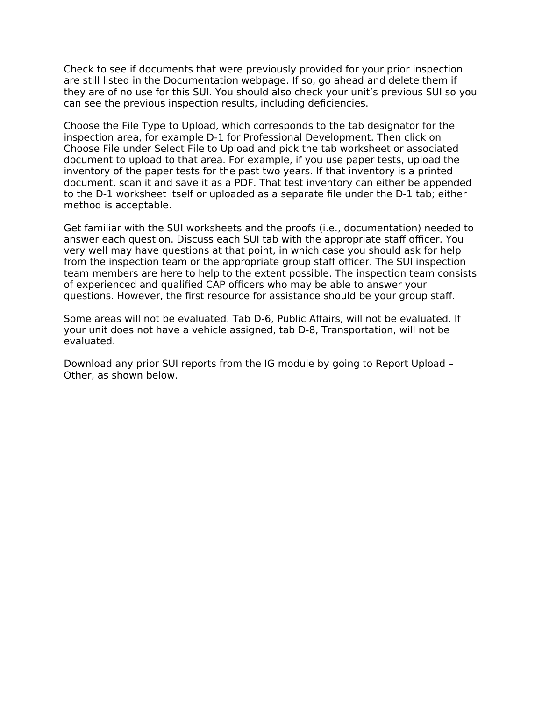Check to see if documents that were previously provided for your prior inspection are still listed in the Documentation webpage. If so, go ahead and delete them if they are of no use for this SUI. You should also check your unit's previous SUI so you can see the previous inspection results, including deficiencies.

Choose the File Type to Upload, which corresponds to the tab designator for the inspection area, for example D-1 for Professional Development. Then click on Choose File under Select File to Upload and pick the tab worksheet or associated document to upload to that area. For example, if you use paper tests, upload the inventory of the paper tests for the past two years. If that inventory is a printed document, scan it and save it as a PDF. That test inventory can either be appended to the D-1 worksheet itself or uploaded as a separate file under the D-1 tab; either method is acceptable.

Get familiar with the SUI worksheets and the proofs (i.e., documentation) needed to answer each question. Discuss each SUI tab with the appropriate staff officer. You very well may have questions at that point, in which case you should ask for help from the inspection team or the appropriate group staff officer. The SUI inspection team members are here to help to the extent possible. The inspection team consists of experienced and qualified CAP officers who may be able to answer your questions. However, the first resource for assistance should be your group staff.

Some areas will not be evaluated. Tab D-6, Public Affairs, will not be evaluated. If your unit does not have a vehicle assigned, tab D-8, Transportation, will not be evaluated.

Download any prior SUI reports from the IG module by going to Report Upload – Other, as shown below.